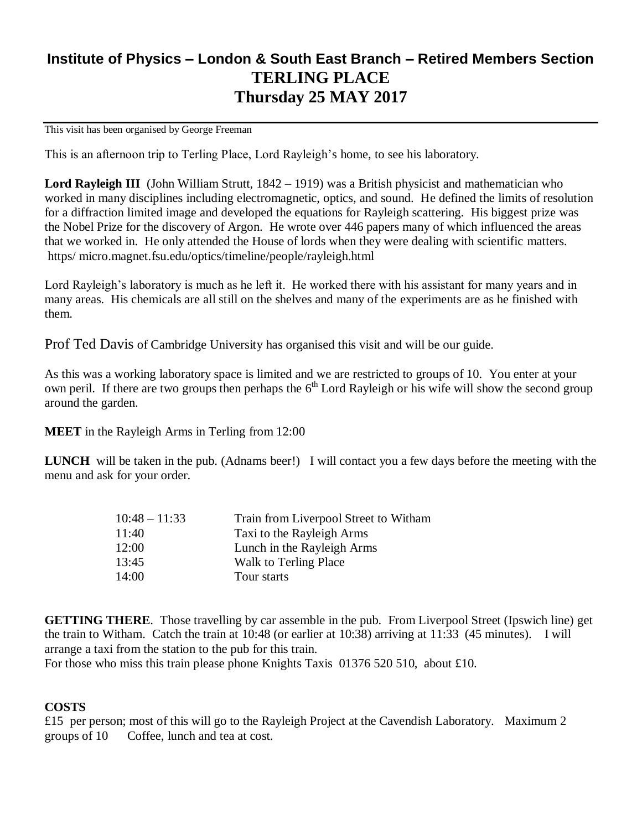## **Institute of Physics – London & South East Branch – Retired Members Section TERLING PLACE Thursday 25 MAY 2017**

This visit has been organised by George Freeman

This is an afternoon trip to Terling Place, Lord Rayleigh's home, to see his laboratory.

Lord Rayleigh III (John William Strutt, 1842 – 1919) was a British physicist and mathematician who worked in many disciplines including electromagnetic, optics, and sound. He defined the limits of resolution for a diffraction limited image and developed the equations for Rayleigh scattering. His biggest prize was the Nobel Prize for the discovery of Argon. He wrote over 446 papers many of which influenced the areas that we worked in. He only attended the House of lords when they were dealing with scientific matters. https/ micro.magnet.fsu.edu/optics/timeline/people/rayleigh.html

Lord Rayleigh's laboratory is much as he left it. He worked there with his assistant for many years and in many areas. His chemicals are all still on the shelves and many of the experiments are as he finished with them.

Prof Ted Davis of Cambridge University has organised this visit and will be our guide.

As this was a working laboratory space is limited and we are restricted to groups of 10. You enter at your own peril. If there are two groups then perhaps the  $6<sup>th</sup>$  Lord Rayleigh or his wife will show the second group around the garden.

**MEET** in the Rayleigh Arms in Terling from 12:00

**LUNCH** will be taken in the pub. (Adnams beer!) I will contact you a few days before the meeting with the menu and ask for your order.

| $10:48 - 11:33$ | Train from Liverpool Street to Witham |
|-----------------|---------------------------------------|
| 11:40           | Taxi to the Rayleigh Arms             |
| 12:00           | Lunch in the Rayleigh Arms            |
| 13:45           | Walk to Terling Place                 |
| 14:00           | Tour starts                           |
|                 |                                       |

**GETTING THERE**. Those travelling by car assemble in the pub. From Liverpool Street (Ipswich line) get the train to Witham. Catch the train at 10:48 (or earlier at 10:38) arriving at 11:33 (45 minutes). I will arrange a taxi from the station to the pub for this train.

For those who miss this train please phone Knights Taxis 01376 520 510, about £10.

## **COSTS**

£15 per person; most of this will go to the Rayleigh Project at the Cavendish Laboratory. Maximum 2 groups of 10 Coffee, lunch and tea at cost.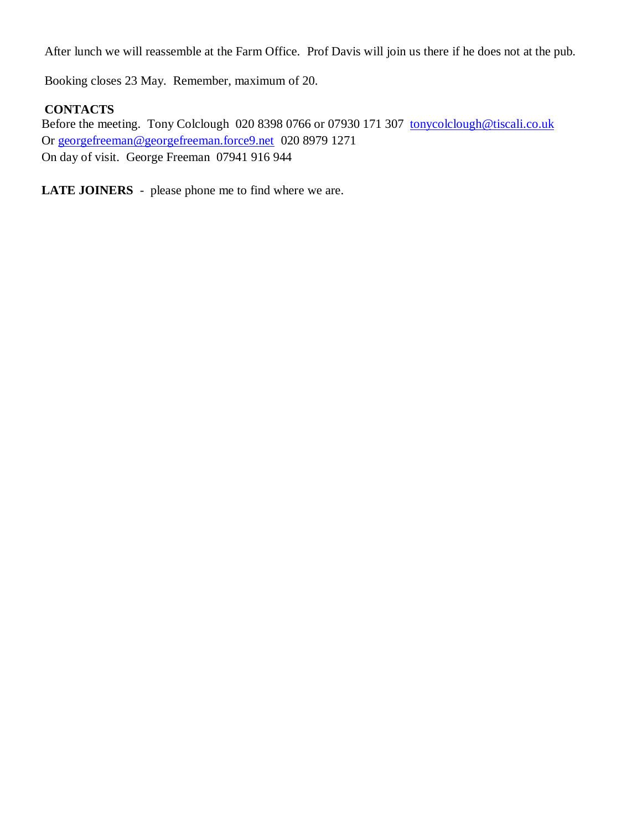After lunch we will reassemble at the Farm Office. Prof Davis will join us there if he does not at the pub.

Booking closes 23 May. Remember, maximum of 20.

## **CONTACTS**

Before the meeting. Tony Colclough 020 8398 0766 or 07930 171 307 [tonycolclough@tiscali.co.uk](mailto:tonycolclough@tiscali.co.uk) Or [georgefreeman@georgefreeman.force9.net](mailto:georgefreeman@georgefreeman.force9.net) 020 8979 1271 On day of visit. George Freeman 07941 916 944

**LATE JOINERS** - please phone me to find where we are.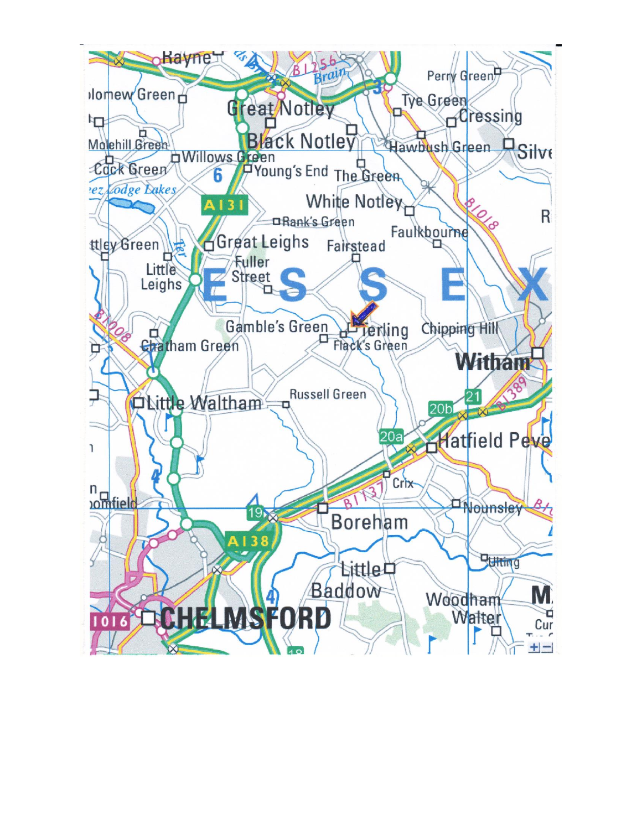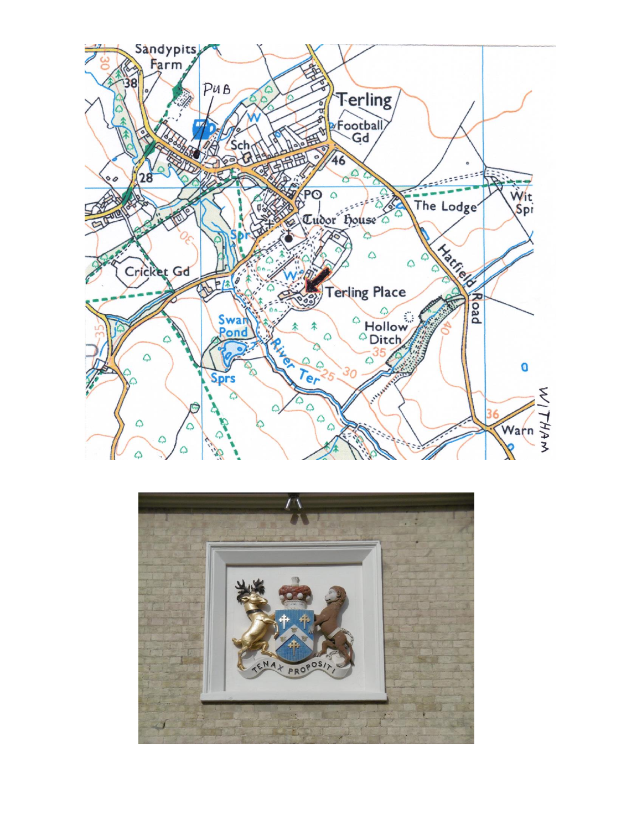